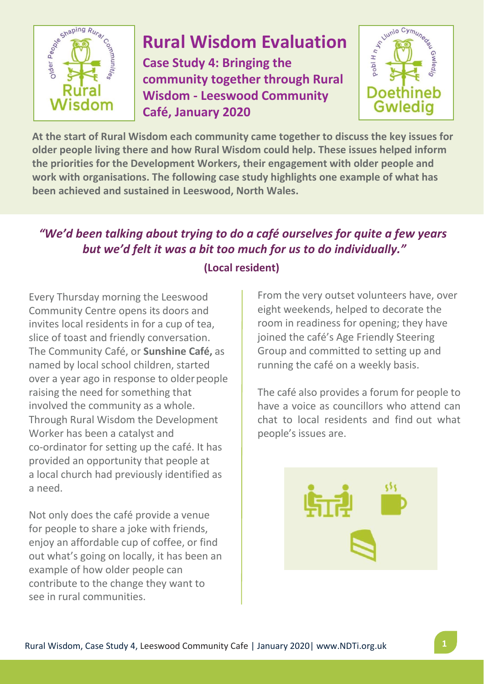

# **Rural Wisdom Evaluation**

**Case Study 4: Bringing the community together through Rural Wisdom - Leeswood Community Café, January 2020**



**At the start of Rural Wisdom each community came together to discuss the key issues for older people living there and how Rural Wisdom could help. These issues helped inform the priorities for the Development Workers, their engagement with older people and work with organisations. The following case study highlights one example of what has been achieved and sustained in Leeswood, North Wales.**

### *"We'd been talking about trying to do a café ourselves for quite a few years but we'd felt it was a bit too much for us to do individually."*

Every Thursday morning the Leeswood Community Centre opens its doors and invites local residents in for a cup of tea, slice of toast and friendly conversation. The Community Café, or **Sunshine Café,** as named by local school children, started over a year ago in response to older people raising the need for something that involved the community as a whole. Through Rural Wisdom the Development Worker has been a catalyst and co-ordinator for setting up the café. It has provided an opportunity that people at a local church had previously identified as a need.

Not only does the café provide a venue for people to share a joke with friends, enjoy an affordable cup of coffee, or find out what's going on locally, it has been an example of how older people can contribute to the change they want to see in rural communities.

#### **(Local resident)**

From the very outset volunteers have, over eight weekends, helped to decorate the room in readiness for opening; they have joined the café's Age Friendly Steering Group and committed to setting up and running the café on a weekly basis.

The café also provides a forum for people to have a voice as councillors who attend can chat to local residents and find out what people's issues are.

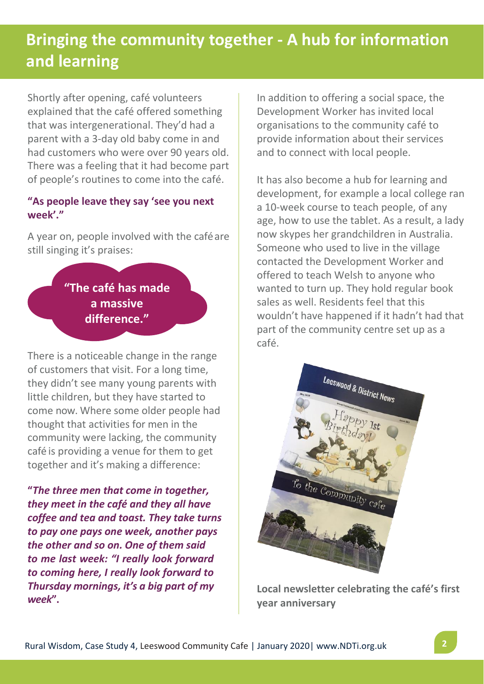## **Bringing the community together - A hub for information and learning**

Shortly after opening, café volunteers explained that the café offered something that was intergenerational. They'd had a parent with a 3-day old baby come in and had customers who were over 90 years old. There was a feeling that it had become part of people's routines to come into the café.

#### **"As people leave they say 'see you next week'."**

A year on, people involved with the caféare still singing it's praises:

> **"The café has made a massive difference."**

There is a noticeable change in the range of customers that visit. For a long time, they didn't see many young parents with little children, but they have started to come now. Where some older people had thought that activities for men in the community were lacking, the community café is providing a venue for them to get together and it's making a difference:

**"***The three men that come in together, they meet in the café and they all have coffee and tea and toast. They take turns to pay one pays one week, another pays the other and so on. One of them said to me last week: "I really look forward to coming here, I really look forward to Thursday mornings, it's a big part of my week***".**

In addition to offering a social space, the Development Worker has invited local organisations to the community café to provide information about their services and to connect with local people.

It has also become a hub for learning and development, for example a local college ran a 10-week course to teach people, of any age, how to use the tablet. As a result, a lady now skypes her grandchildren in Australia. Someone who used to live in the village contacted the Development Worker and offered to teach Welsh to anyone who wanted to turn up. They hold regular book sales as well. Residents feel that this wouldn't have happened if it hadn't had that part of the community centre set up as a café.



**Local newsletter celebrating the café's first year anniversary**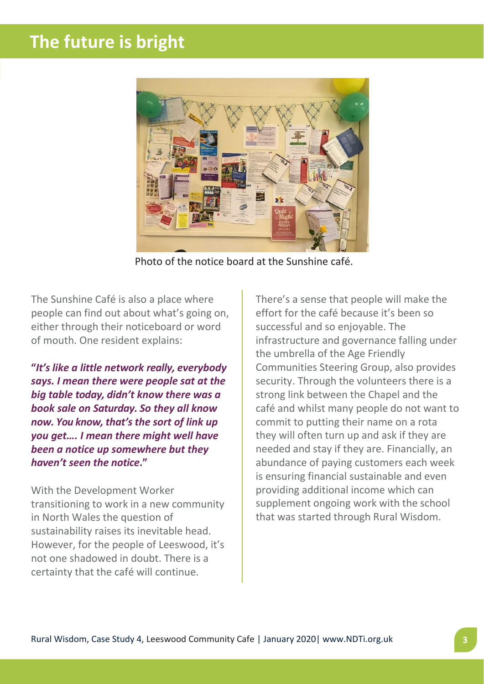## **The future is bright**



Photo of the notice board at the Sunshine café.

The Sunshine Café is also a place where people can find out about what's going on, either through their noticeboard or word of mouth. One resident explains:

**"***It's like a little network really, everybody says. I mean there were people sat at the big table today, didn't know there was a book sale on Saturday. So they all know now. You know, that's the sort of link up you get…. I mean there might well have been a notice up somewhere but they haven't seen the notice***."**

With the Development Worker transitioning to work in a new community in North Wales the question of sustainability raises its inevitable head. However, for the people of Leeswood, it's not one shadowed in doubt. There is a certainty that the café will continue.

There's a sense that people will make the effort for the café because it's been so successful and so enjoyable. The infrastructure and governance falling under the umbrella of the Age Friendly Communities Steering Group, also provides security. Through the volunteers there is a strong link between the Chapel and the café and whilst many people do not want to commit to putting their name on a rota they will often turn up and ask if they are needed and stay if they are. Financially, an abundance of paying customers each week is ensuring financial sustainable and even providing additional income which can supplement ongoing work with the school that was started through Rural Wisdom.